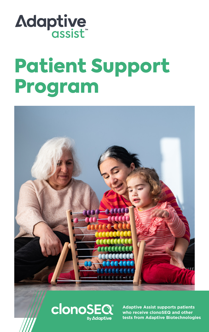

# Patient Support Program





**Adaptive Assist supports patients who receive clonoSEQ and other tests from Adaptive Biotechnologies**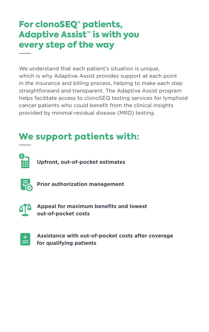## For clonoSEQ® patients, Adaptive Assist<sup>™</sup> is with you every step of the way

We understand that each patient's situation is unique, which is why Adaptive Assist provides support at each point in the insurance and billing process, helping to make each step straightforward and transparent. The Adaptive Assist program helps facilitate access to clonoSEQ testing services for lymphoid cancer patients who could benefit from the clinical insights provided by minimal residual disease (MRD) testing.

# We support patients with:



**Upfront, out-of-pocket estimates** 



**Prior authorization management** 



**Appeal for maximum benefits and lowest out-of-pocket costs** 

| I |
|---|
|   |

**Assistance with out-of-pocket costs after coverage for qualifying patients**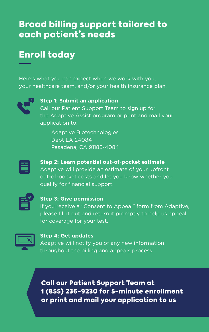## Broad billing support tailored to each patient's needs

# Enroll today

Here's what you can expect when we work with you, your healthcare team, and/or your health insurance plan.



#### **Step 1: Submit an application**

Call our Patient Support Team to sign up for the Adaptive Assist program or print and mail your application to:

Adaptive Biotechnologies Dept LA 24084 Pasadena, CA 91185-4084



#### **Step 2: Learn potential out-of-pocket estimate**  Adaptive will provide an estimate of your upfront out-of-pocket costs and let you know whether you

qualify for financial support.



#### **Step 3: Give permission**

If you receive a "Consent to Appeal" form from Adaptive, please fill it out and return it promptly to help us appeal for coverage for your test.



#### **Step 4: Get updates**

Adaptive will notify you of any new information throughout the billing and appeals process.

Call our Patient Support Team at 1 (855) 236-9230 for 5-minute enrollment or print and mail your application to us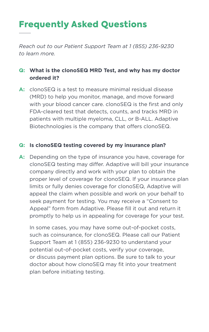# Frequently Asked Questions

*Reach out to our Patient Support Team at 1 (855) 236-9230 to learn more.*

#### **Q: What is the clonoSEQ MRD Test, and why has my doctor ordered it?**

**A:** clonoSEQ is a test to measure minimal residual disease (MRD) to help you monitor, manage, and move forward with your blood cancer care. clonoSEQ is the first and only FDA-cleared test that detects, counts, and tracks MRD in patients with multiple myeloma, CLL, or B-ALL. Adaptive Biotechnologies is the company that offers clonoSEQ.

#### **Q: Is clonoSEQ testing covered by my insurance plan?**

**A:** Depending on the type of insurance you have, coverage for clonoSEQ testing may differ. Adaptive will bill your insurance company directly and work with your plan to obtain the proper level of coverage for clonoSEQ. If your insurance plan limits or fully denies coverage for clonoSEQ, Adaptive will appeal the claim when possible and work on your behalf to seek payment for testing. You may receive a "Consent to Appeal" form from Adaptive. Please fill it out and return it promptly to help us in appealing for coverage for your test.

In some cases, you may have some out-of-pocket costs, such as coinsurance, for clonoSEQ. Please call our Patient Support Team at 1 (855) 236-9230 to understand your potential out-of-pocket costs, verify your coverage, or discuss payment plan options. Be sure to talk to your doctor about how clonoSEQ may fit into your treatment plan before initiating testing.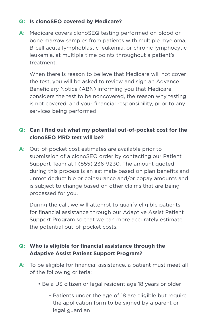#### **Q: Is clonoSEQ covered by Medicare?**

**A:** Medicare covers clonoSEQ testing performed on blood or bone marrow samples from patients with multiple myeloma, B-cell acute lymphoblastic leukemia, or chronic lymphocytic leukemia, at multiple time points throughout a patient's treatment.

When there is reason to believe that Medicare will not cover the test, you will be asked to review and sign an Advance Beneficiary Notice (ABN) informing you that Medicare considers the test to be noncovered, the reason why testing is not covered, and your financial responsibility, prior to any services being performed.

#### **Q: Can I find out what my potential out-of-pocket cost for the clonoSEQ MRD test will be?**

**A:** Out-of-pocket cost estimates are available prior to submission of a clonoSEQ order by contacting our Patient Support Team at 1 (855) 236-9230. The amount quoted during this process is an estimate based on plan benefits and unmet deductible or coinsurance and/or copay amounts and is subject to change based on other claims that are being processed for you.

During the call, we will attempt to qualify eligible patients for financial assistance through our Adaptive Assist Patient Support Program so that we can more accurately estimate the potential out-of-pocket costs.

#### **Q: Who is eligible for financial assistance through the Adaptive Assist Patient Support Program?**

- **A:** To be eligible for financial assistance, a patient must meet all of the following criteria:
	- Be a US citizen or legal resident age 18 years or older
		- Patients under the age of 18 are eligible but require the application form to be signed by a parent or legal guardian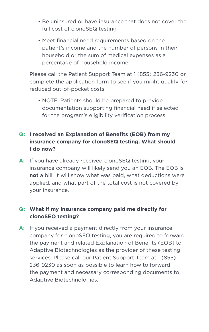- Be uninsured or have insurance that does not cover the full cost of clonoSEQ testing
- Meet financial need requirements based on the patient's income and the number of persons in their household or the sum of medical expenses as a percentage of household income.

 Please call the Patient Support Team at 1 (855) 236-9230 or complete the application form to see if you might qualify for reduced out-of-pocket costs

 • NOTE: Patients should be prepared to provide documentation supporting financial need if selected for the program's eligibility verification process

#### **Q: I received an Explanation of Benefits (EOB) from my insurance company for clonoSEQ testing. What should I do now?**

**A:** If you have already received clonoSEQ testing, your insurance company will likely send you an EOB. The EOB is **not** a bill. It will show what was paid, what deductions were applied, and what part of the total cost is not covered by your insurance.

#### **Q: What if my insurance company paid me directly for clonoSEQ testing?**

**A:** If you received a payment directly from your insurance company for clonoSEQ testing, you are required to forward the payment and related Explanation of Benefits (EOB) to Adaptive Biotechnologies as the provider of these testing services. Please call our Patient Support Team at 1 (855) 236-9230 as soon as possible to learn how to forward the payment and necessary corresponding documents to Adaptive Biotechnologies.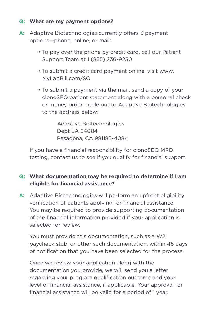#### **Q: What are my payment options?**

- A: Adaptive Biotechnologies currently offers 3 payment options—phone, online, or mail:
	- To pay over the phone by credit card, call our Patient Support Team at 1 (855) 236-9230
	- To submit a credit card payment online, visit www. MyLabBill.com/SQ
	- To submit a payment via the mail, send a copy of your clonoSEQ patient statement along with a personal check or money order made out to Adaptive Biotechnologies to the address below:

 Adaptive Biotechnologies Dept LA 24084 Pasadena, CA 981185-4084

 If you have a financial responsibility for clonoSEQ MRD testing, contact us to see if you qualify for financial support.

#### **Q: What documentation may be required to determine if I am eligible for financial assistance?**

**A:** Adaptive Biotechnologies will perform an upfront eligibility verification of patients applying for financial assistance. You may be required to provide supporting documentation of the financial information provided if your application is selected for review.

You must provide this documentation, such as a W2, paycheck stub, or other such documentation, within 45 days of notification that you have been selected for the process.

Once we review your application along with the documentation you provide, we will send you a letter regarding your program qualification outcome and your level of financial assistance, if applicable. Your approval for financial assistance will be valid for a period of 1 year.